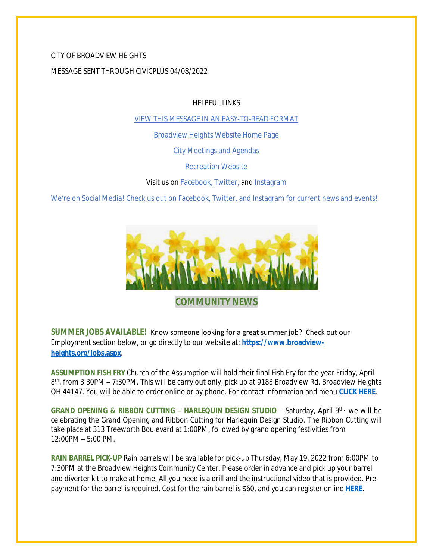# CITY OF BROADVIEW HEIGHTS

MESSAGE SENT THROUGH CIVICPLUS 04/08/2022

HELPFUL LINKS

[VIEW THIS MESSAGE IN AN EASY-TO-READ FORMAT](https://www.broadview-heights.org/Archive.aspx?AMID=37)

[Broadview Heights Website Home Page](https://www.broadview-heights.org/)

[City Meetings and Agendas](https://www.broadview-heights.org/1126/Agendas-Meeting-Minutes)

[Recreation Website](https://broadview-heights.org/292/Parks-Recreation)

Visit us on **Facebook**, [Twitter,](https://twitter.com/broadviewhts) and [Instagram](https://www.instagram.com/cityofbroadviewheights/)

We're on Social Media! Check us out on Facebook, Twitter, and Instagram for current news and events!



**COMMUNITY NEWS**

**SUMMER JOBS AVAILABLE!** Know someone looking for a great summer job? Check out our Employment section below, or go directly to our website at: **[https://www.broadview](https://www.broadview-heights.org/jobs.aspx)heights.org/jobs.aspx**.

**ASSUMPTION FISH FRY** Church of the Assumption will hold their final Fish Fry for the year Friday, April 8 th, from 3:30PM – 7:30PM. This will be carry out only, pick up at 9183 Broadview Rd. Broadview Heights OH 44147. You will be able to order online or by phone. For contact information and menu **[CLICK HERE](https://broadview-heights.org/DocumentCenter/View/9222/fishfry)**.

**GRAND OPENING & RIBBON CUTTING – HARLEQUIN DESIGN STUDIO** – Saturday, April 9 th, we will be celebrating the Grand Opening and Ribbon Cutting for Harlequin Design Studio. The Ribbon Cutting will take place at 313 Treeworth Boulevard at 1:00PM, followed by grand opening festivities from 12:00PM – 5:00 PM.

**RAIN BARREL PICK-UP** Rain barrels will be available for pick-up Thursday, May 19, 2022 from 6:00PM to 7:30PM at the Broadview Heights Community Center. Please order in advance and pick up your barrel and diverter kit to make at home. All you need is a drill and the instructional video that is provided. Prepayment for the barrel is required. Cost for the rain barrel is \$60, and you can register online **[HERE](https://cuyahogaswcd.org/events/2022/05/19/rain-barrel-pick-up--broadview-heights).**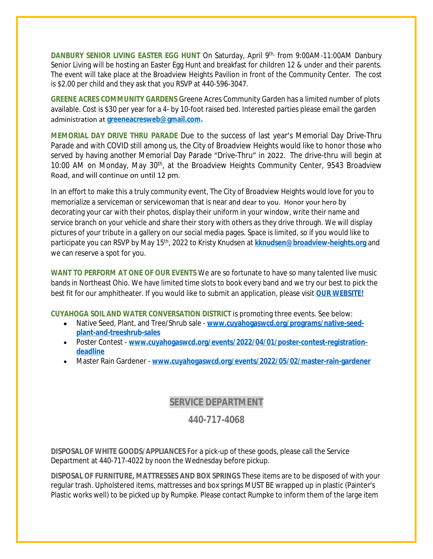**DANBURY SENIOR LIVING EASTER EGG HUNT** On Saturday, April 9 th, from 9:00AM-11:00AM Danbury Senior Living will be hosting an Easter Egg Hunt and breakfast for children 12 & under and their parents. The event will take place at the Broadview Heights Pavilion in front of the Community Center. The cost is \$2.00 per child and they ask that you RSVP at 440-596-3047.

**GREENE ACRES COMMUNITY GARDENS** Greene Acres Community Garden has a limited number of plots available. Cost is \$30 per year for a 4- by 10-foot raised bed. Interested parties please email the garden administration at **[greeneacresweb@gmail.com.](mailto:greeneacresweb@gmail.com)**

**MEMORIAL DAY DRIVE THRU PARADE** Due to the success of last year's Memorial Day Drive-Thru Parade and with COVID still among us, the City of Broadview Heights would like to honor those who served by having another Memorial Day Parade "Drive-Thru" in 2022. The drive-thru will begin at 10:00 AM on Monday, May 30<sup>th</sup>, at the Broadview Heights Community Center, 9543 Broadview Road, and will continue on until 12 pm.

In an effort to make this a truly community event, The City of Broadview Heights would love for you to memorialize a serviceman or servicewoman that is near and dear to you. Honor your hero by decorating your car with their photos, display their uniform in your window, write their name and service branch on your vehicle and share their story with others as they drive through. We will display pictures of your tribute in a gallery on our social media pages. Space is limited, so if you would like to participate you can RSVP by May 15th, 2022 to Kristy Knudsen at **[kknudsen@broadview-heights.org](mailto:kknudsen@broadview-heights.org)** and we can reserve a spot for you.

**WANT TO PERFORM AT ONE OF OUR EVENTS** We are so fortunate to have so many talented live music bands in Northeast Ohio. We have limited time slots to book every band and we try our best to pick the best fit for our amphitheater. If you would like to submit an application, please visit **[OUR WEBSITE!](https://broadview-heights.org/FormCenter/Mayors-Office-14/Band-Inquiry-Form-122)**

**CUYAHOGA SOIL AND WATER CONVERSATION DISTRICT** is promoting three events. See below:

- Native Seed, Plant, and Tree/Shrub sale [www.cuyahogaswcd.org/programs/native-seed](http://www.cuyahogaswcd.org/programs/native-seed-plant-and-treeshrub-sales)**plant-and-treeshrub-sales**
- Poster Contest **[www.cuyahogaswcd.org/events/2022/04/01/poster-contest-registration](http://www.cuyahogaswcd.org/events/2022/04/01/poster-contest-registration-deadline)deadline**
- Master Rain Gardener **[www.cuyahogaswcd.org/events/2022/05/02/master-rain-gardener](http://www.cuyahogaswcd.org/events/2022/05/02/master-rain-gardener)**

## **SERVICE DEPARTMENT**

**440-717-4068**

**DISPOSAL OF WHITE GOODS/APPLIANCES** For a pick-up of these goods, please call the Service Department at 440-717-4022 by noon the Wednesday before pickup.

**DISPOSAL OF FURNITURE, MATTRESSES AND BOX SPRINGS** These items are to be disposed of with your regular trash. Upholstered items, mattresses and box springs MUST BE wrapped up in plastic (Painter's Plastic works well) to be picked up by Rumpke. Please contact Rumpke to inform them of the large item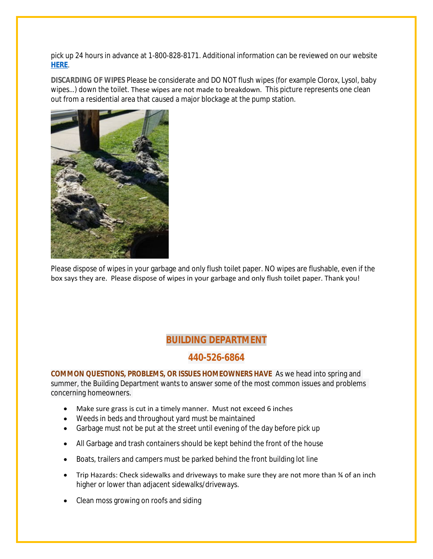pick up 24 hours in advance at 1-800-828-8171. Additional information can be reviewed on our website **[HERE](https://www.broadview-heights.org/1027/Garbage-Recycling)**.

**DISCARDING OF WIPES** Please be considerate and DO NOT flush wipes (for example Clorox, Lysol, baby wipes…) down the toilet. These wipes are not made to breakdown. This picture represents one clean out from a residential area that caused a major blockage at the pump station.



Please dispose of wipes in your garbage and only flush toilet paper. NO wipes are flushable, even if the box says they are. Please dispose of wipes in your garbage and only flush toilet paper. Thank you!

# **BUILDING DEPARTMENT**

## **440-526-6864**

**COMMON QUESTIONS, PROBLEMS, OR ISSUES HOMEOWNERS HAVE** As we head into spring and summer, the Building Department wants to answer some of the most common issues and problems concerning homeowners.

- Make sure grass is cut in a timely manner. Must not exceed 6 inches
- Weeds in beds and throughout yard must be maintained
- Garbage must not be put at the street until evening of the day before pick up
- All Garbage and trash containers should be kept behind the front of the house
- Boats, trailers and campers must be parked behind the front building lot line
- Trip Hazards: Check sidewalks and driveways to make sure they are not more than  $\frac{3}{4}$  of an inch higher or lower than adjacent sidewalks/driveways.
- Clean moss growing on roofs and siding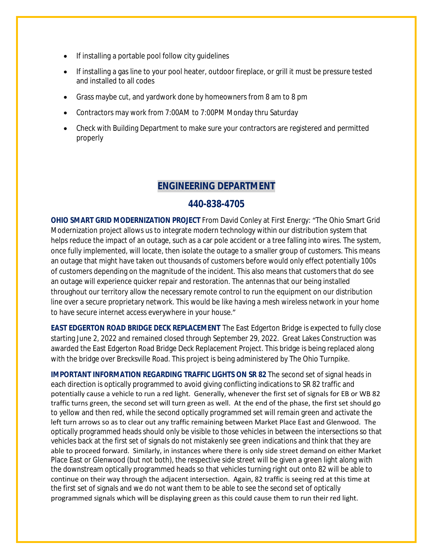- If installing a portable pool follow city quidelines
- If installing a gas line to your pool heater, outdoor fireplace, or grill it must be pressure tested and installed to all codes
- Grass maybe cut, and yardwork done by homeowners from 8 am to 8 pm
- Contractors may work from 7:00AM to 7:00PM Monday thru Saturday
- Check with Building Department to make sure your contractors are registered and permitted properly

## **ENGINEERING DEPARTMENT**

## **440-838-4705**

**OHIO SMART GRID MODERNIZATION PROJECT** From David Conley at First Energy: "The Ohio Smart Grid Modernization project allows us to integrate modern technology within our distribution system that helps reduce the impact of an outage, such as a car pole accident or a tree falling into wires. The system, once fully implemented, will locate, then isolate the outage to a smaller group of customers. This means an outage that might have taken out thousands of customers before would only effect potentially 100s of customers depending on the magnitude of the incident. This also means that customers that do see an outage will experience quicker repair and restoration. The antennas that our being installed throughout our territory allow the necessary remote control to run the equipment on our distribution line over a secure proprietary network. This would be like having a mesh wireless network in your home to have secure internet access everywhere in your house."

**EAST EDGERTON ROAD BRIDGE DECK REPLACEMENT** The East Edgerton Bridge is expected to fully close starting June 2, 2022 and remained closed through September 29, 2022. Great Lakes Construction was awarded the East Edgerton Road Bridge Deck Replacement Project. This bridge is being replaced along with the bridge over Brecksville Road. This project is being administered by The Ohio Turnpike.

**IMPORTANT INFORMATION REGARDING TRAFFIC LIGHTS ON SR 82** The second set of signal heads in each direction is optically programmed to avoid giving conflicting indications to SR 82 traffic and potentially cause a vehicle to run a red light. Generally, whenever the first set of signals for EB or WB 82 traffic turns green, the second set will turn green as well. At the end of the phase, the first set should go to yellow and then red, while the second optically programmed set will remain green and activate the left turn arrows so as to clear out any traffic remaining between Market Place East and Glenwood. The optically programmed heads should only be visible to those vehicles in between the intersections so that vehicles back at the first set of signals do not mistakenly see green indications and think that they are able to proceed forward. Similarly, in instances where there is only side street demand on either Market Place East or Glenwood (but not both), the respective side street will be given a green light along with the downstream optically programmed heads so that vehicles turning right out onto 82 will be able to continue on their way through the adjacent intersection. Again, 82 traffic is seeing red at this time at the first set of signals and we do not want them to be able to see the second set of optically programmed signals which will be displaying green as this could cause them to run their red light.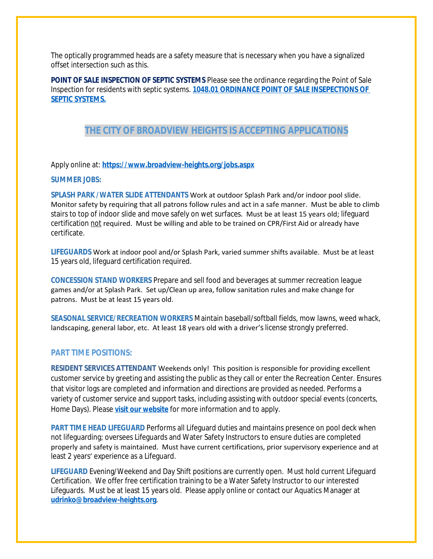The optically programmed heads are a safety measure that is necessary when you have a signalized offset intersection such as this.

**POINT OF SALE INSPECTION OF SEPTIC SYSTEMS** Please see the ordinance regarding the Point of Sale Inspection for residents with septic systems. **[1048.01 ORDINANCE POINT OF SALE INSEPECTIONS OF](https://codelibrary.amlegal.com/codes/broadviewhts/latest/broadview_oh/0-0-0-13398)  SEPTIC SYSTEMS.**

## **THE CITY OF BROADVIEW HEIGHTS IS ACCEPTING APPLICATIONS**

Apply online at: **<https://www.broadview-heights.org/jobs.aspx>**

#### **SUMMER JOBS:**

**SPLASH PARK /WATER SLIDE ATTENDANTS** Work at outdoor Splash Park and/or indoor pool slide. Monitor safety by requiring that all patrons follow rules and act in a safe manner. Must be able to climb stairs to top of indoor slide and move safely on wet surfaces. Must be at least 15 years old; lifeguard certification not required. Must be willing and able to be trained on CPR/First Aid or already have certificate.

**LIFEGUARDS** Work at indoor pool and/or Splash Park, varied summer shifts available. Must be at least 15 years old, lifeguard certification required.

**CONCESSION STAND WORKERS** Prepare and sell food and beverages at summer recreation league games and/or at Splash Park. Set up/Clean up area, follow sanitation rules and make change for patrons. Must be at least 15 years old.

**SEASONAL SERVICE/RECREATION WORKERS** Maintain baseball/softball fields, mow lawns, weed whack, landscaping, general labor, etc. At least 18 years old with a driver's license strongly preferred.

## **PART TIME POSITIONS:**

**RESIDENT SERVICES ATTENDANT** Weekends only! This position is responsible for providing excellent customer service by greeting and assisting the public as they call or enter the Recreation Center. Ensures that visitor logs are completed and information and directions are provided as needed. Performs a variety of customer service and support tasks, including assisting with outdoor special events (concerts, Home Days). Please **[visit our website](https://www.broadview-heights.org/Jobs.aspx?UniqueId=98&From=98&CommunityJobs=False&JobID=Resident-Services-Attendant-135)** for more information and to apply.

**PART TIME HEAD LIFEGUARD** Performs all Lifeguard duties and maintains presence on pool deck when not lifeguarding; oversees Lifeguards and Water Safety Instructors to ensure duties are completed properly and safety is maintained. Must have current certifications, prior supervisory experience and at least 2 years' experience as a Lifeguard.

**LIFEGUARD** Evening/Weekend and Day Shift positions are currently open. Must hold current Lifeguard Certification. We offer free certification training to be a Water Safety Instructor to our interested Lifeguards. Must be at least 15 years old. Please apply online or contact our Aquatics Manager at **[udrinko@broadview-heights.org](mailto:udrinko@broadview-heights.org)**.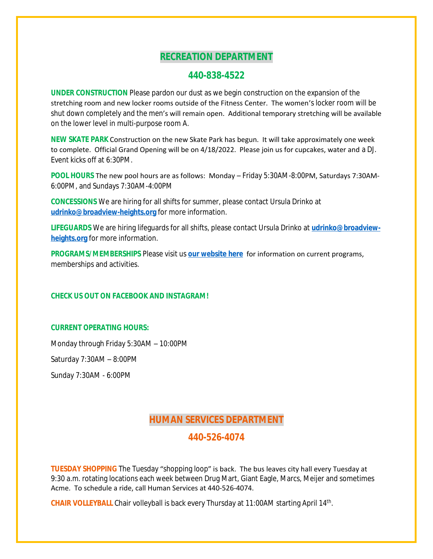## **RECREATION DEPARTMENT**

### **440-838-4522**

**UNDER CONSTRUCTION** Please pardon our dust as we begin construction on the expansion of the stretching room and new locker rooms outside of the Fitness Center. The women's locker room will be shut down completely and the men's will remain open. Additional temporary stretching will be available on the lower level in multi-purpose room A.

**NEW SKATE PARK** Construction on the new Skate Park has begun. It will take approximately one week to complete. Official Grand Opening will be on 4/18/2022. Please join us for cupcakes, water and a DJ. Event kicks off at 6:30PM.

**POOL HOURS** The new pool hours are as follows: Monday – Friday 5:30AM-8:00PM, Saturdays 7:30AM-6:00PM, and Sundays 7:30AM-4:00PM

**CONCESSIONS** We are hiring for all shifts for summer, please contact Ursula Drinko at **[udrinko@broadview-heights.org](mailto:udrinko@broadview-heights.org)** for more information.

**LIFEGUARDS** We are hiring lifeguards for all shifts, please contact Ursula Drinko at **[udrinko@broadview](mailto:udrinko@broadview-heights.org)heights.org** for more information.

**PROGRAMS/MEMBERSHIPS** Please visit us **[our website here](https://www.broadview-heights.org/292/Parks-Recreation)** for information on current programs, memberships and activities.

#### **CHECK US OUT ON FACEBOOK AND INSTAGRAM!**

#### **CURRENT OPERATING HOURS:**

Monday through Friday 5:30AM – 10:00PM Saturday 7:30AM – 8:00PM Sunday 7:30AM - 6:00PM

# **HUMAN SERVICES DEPARTMENT**

## **440-526-4074**

**TUESDAY SHOPPING** The Tuesday "shopping loop" is back. The bus leaves city hall every Tuesday at 9:30 a.m. rotating locations each week between Drug Mart, Giant Eagle, Marcs, Meijer and sometimes Acme. To schedule a ride, call Human Services at 440-526-4074.

CHAIR VOLLEYBALL Chair volleyball is back every Thursday at 11:00AM starting April 14<sup>th</sup>.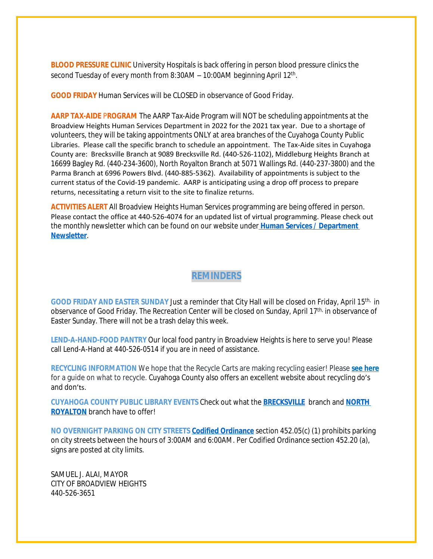**BLOOD PRESSURE CLINIC** University Hospitals is back offering in person blood pressure clinics the second Tuesday of every month from 8:30AM - 10:00AM beginning April 12<sup>th</sup>.

**GOOD FRIDAY** Human Services will be CLOSED in observance of Good Friday.

**AARP TAX-AIDE** P**ROGRAM** The AARP Tax-Aide Program will NOT be scheduling appointments at the Broadview Heights Human Services Department in 2022 for the 2021 tax year. Due to a shortage of volunteers, they will be taking appointments ONLY at area branches of the Cuyahoga County Public Libraries. Please call the specific branch to schedule an appointment. The Tax-Aide sites in Cuyahoga County are: Brecksville Branch at 9089 Brecksville Rd. (440-526-1102), Middleburg Heights Branch at 16699 Bagley Rd. (440-234-3600), North Royalton Branch at 5071 Wallings Rd. (440-237-3800) and the Parma Branch at 6996 Powers Blvd. (440-885-5362). Availability of appointments is subject to the current status of the Covid-19 pandemic. AARP is anticipating using a drop off process to prepare returns, necessitating a return visit to the site to finalize returns.

**ACTIVITIES ALERT** All Broadview Heights Human Services programming are being offered in person. Please contact the office at 440-526-4074 for an updated list of virtual programming. Please check out the monthly newsletter which can be found on our website under **[Human Services / Department](https://mycommunityonline.com/find/broadview-heights-senior-center)  Newsletter**.

## **REMINDERS**

**GOOD FRIDAY AND EASTER SUNDAY** Just a reminder that City Hall will be closed on Friday, April 15th, in observance of Good Friday. The Recreation Center will be closed on Sunday, April 17<sup>th,</sup> in observance of Easter Sunday. There will not be a trash delay this week.

**LEND-A-HAND-FOOD PANTRY** Our local food pantry in Broadview Heights is here to serve you! Please call Lend-A-Hand at 440-526-0514 if you are in need of assistance.

**RECYCLING INFORMATION** We hope that the Recycle Carts are making recycling easier! Please **[see here](https://broadview-heights.org/DocumentCenter/View/9125/Curbside-Recycling-in-Broadview-Heights-010622)** for a guide on what to recycle. Cuyahoga County also offers an excellent website about recycling do's and don'ts.

**CUYAHOGA COUNTY PUBLIC LIBRARY EVENTS** Check out what the **[BRECKSVILLE](https://attend.cuyahogalibrary.org/events?r=thismonth)** branch and **[NORTH](https://attend.cuyahogalibrary.org/events?r=thismonth)  ROYALTON** branch have to offer!

**NO OVERNIGHT PARKING ON CITY STREETS [Codified Ordinance](http://library.amlegal.com/nxt/gateway.dll/Ohio/broadviewhts/codifiedordinancesofbroadviewheightsohio?f=templates$fn=default.htm$3.0$vid=amlegal:broadviewhts_oh)** section 452.05(c) (1) prohibits parking on city streets between the hours of 3:00AM and 6:00AM. Per Codified Ordinance section 452.20 (a), signs are posted at city limits.

SAMUEL J. ALAI, MAYOR CITY OF BROADVIEW HEIGHTS 440-526-3651